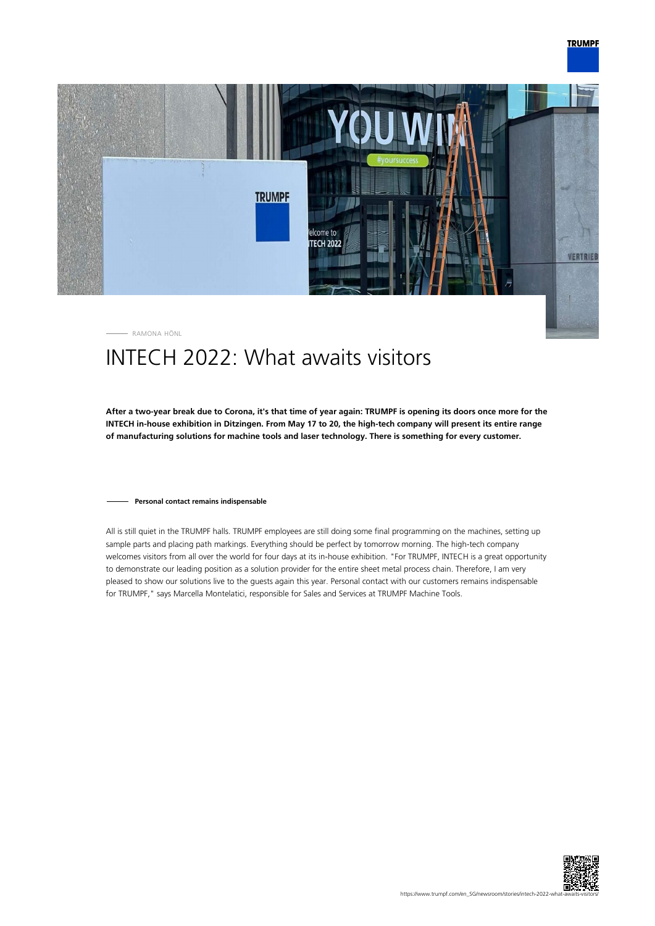

RAMONA HÖNL

# INTECH 2022: What awaits visitors

**After a two-year break due to Corona, it's that time of year again: TRUMPF is opening its doors once more for the INTECH in-house exhibition in Ditzingen. From May 17 to 20, the high-tech company will present its entire range of manufacturing solutions for machine tools and laser technology. There is something for every customer.**

### **Personal contact remains indispensable**

All is still quiet in the TRUMPF halls. TRUMPF employees are still doing some final programming on the machines, setting up sample parts and placing path markings. Everything should be perfect by tomorrow morning. The high-tech company welcomes visitors from all over the world for four days at its in-house exhibition. "For TRUMPF, INTECH is a great opportunity to demonstrate our leading position as a solution provider for the entire sheet metal process chain. Therefore, I am very pleased to show our solutions live to the guests again this year. Personal contact with our customers remains indispensable for TRUMPF," says Marcella Montelatici, responsible for Sales and Services at TRUMPF Machine Tools.

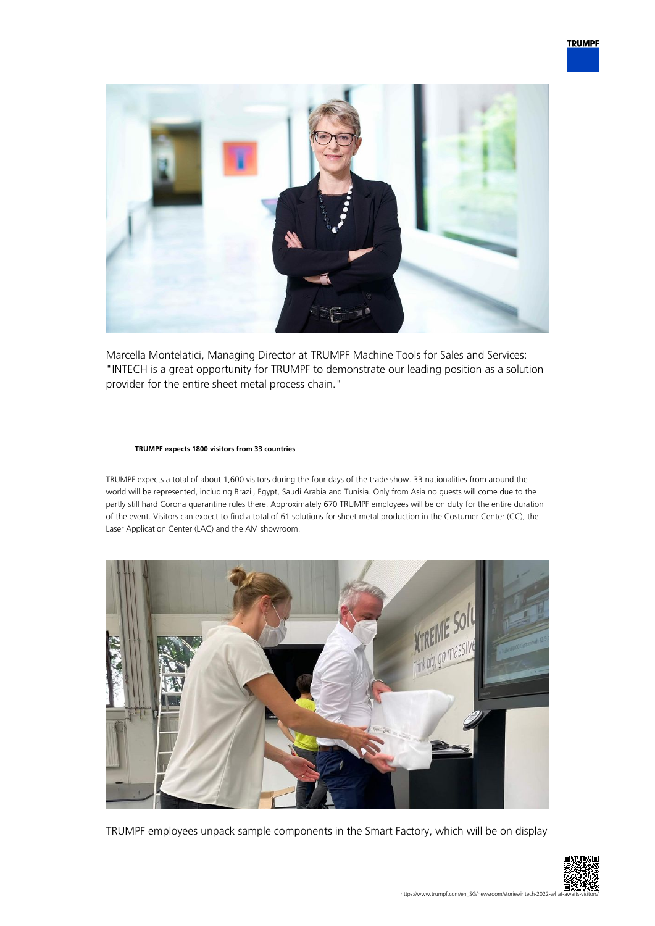

Marcella Montelatici, Managing Director at TRUMPF Machine Tools for Sales and Services: "INTECH is a great opportunity for TRUMPF to demonstrate our leading position as a solution provider for the entire sheet metal process chain."

### **TRUMPF expects 1800 visitors from 33 countries**

TRUMPF expects a total of about 1,600 visitors during the four days of the trade show. 33 nationalities from around the world will be represented, including Brazil, Egypt, Saudi Arabia and Tunisia. Only from Asia no guests will come due to the partly still hard Corona quarantine rules there. Approximately 670 TRUMPF employees will be on duty for the entire duration of the event. Visitors can expect to find a total of 61 solutions for sheet metal production in the Costumer Center (CC), the Laser Application Center (LAC) and the AM showroom.



TRUMPF employees unpack sample components in the Smart Factory, which will be on display